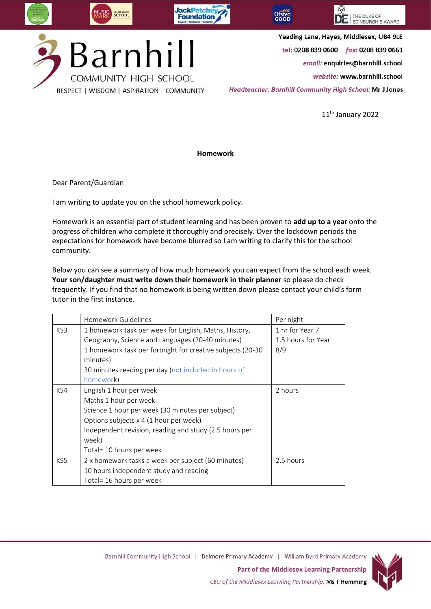

THE DUKE OF EDINBURGH'S AWARD

Yeading Lane, Hayes, Middlesex, UB4 9LE

tel: 0208 839 0600 fax: 0208 839 0661

email: enquiries@barnhill.school

website: www.barnhill.school

Headteacher: Barnhill Community High School: Mr J Jones

11<sup>th</sup> January 2022

## **Homework**

Dear Parent/Guardian

I am writing to update you on the school homework policy.

Homework is an essential part of student learning and has been proven to **add up to a year** onto the progress of children who complete it thoroughly and precisely. Over the lockdown periods the expectations for homework have become blurred so I am writing to clarify this for the school community.

Below you can see a summary of how much homework you can expect from the school each week. **Your son/daughter must write down their homework in their planner** so please do check frequently. If you find that no homework is being written down please contact your child's form tutor in the first instance.

|     | Homework Guidelines                                        | Per night          |
|-----|------------------------------------------------------------|--------------------|
| KS3 | 1 homework task per week for English, Maths, History,      | 1 hr for Year 7    |
|     | Geography, Science and Languages (20-40 minutes)           | 1.5 hours for Year |
|     | 1 homework task per fortnight for creative subjects (20-30 | 8/9                |
|     | minutes)                                                   |                    |
|     | 30 minutes reading per day (not included in hours of       |                    |
|     | homework)                                                  |                    |
| KS4 | English 1 hour per week                                    | 2 hours            |
|     | Maths 1 hour per week                                      |                    |
|     | Science 1 hour per week (30 minutes per subject)           |                    |
|     | Options subjects x 4 (1 hour per week)                     |                    |
|     | Independent revision, reading and study (2.5 hours per     |                    |
|     | week)                                                      |                    |
|     | Total= 10 hours per week                                   |                    |
| KS5 | 2 x homework tasks a week per subject (60 minutes)         | 2.5 hours          |
|     | 10 hours independent study and reading                     |                    |
|     | Total= 16 hours per week                                   |                    |